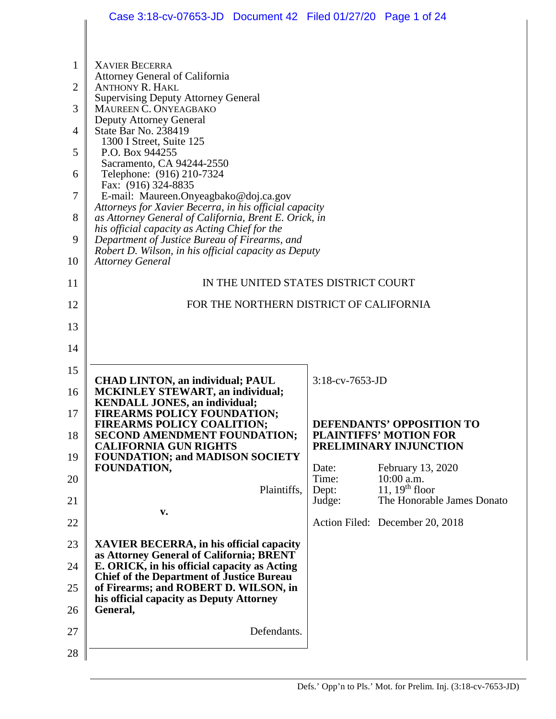|                | Case 3:18-cv-07653-JD  Document 42  Filed 01/27/20  Page 1 of 24                                                |                         |                                                            |
|----------------|-----------------------------------------------------------------------------------------------------------------|-------------------------|------------------------------------------------------------|
|                |                                                                                                                 |                         |                                                            |
| 1              | <b>XAVIER BECERRA</b>                                                                                           |                         |                                                            |
| $\overline{2}$ | <b>Attorney General of California</b><br><b>ANTHONY R. HAKL</b>                                                 |                         |                                                            |
| 3              | <b>Supervising Deputy Attorney General</b><br>MAUREEN C. ONYEAGBAKO                                             |                         |                                                            |
| 4              | <b>Deputy Attorney General</b><br>State Bar No. 238419                                                          |                         |                                                            |
| 5              | 1300 I Street, Suite 125<br>P.O. Box 944255                                                                     |                         |                                                            |
| 6              | Sacramento, CA 94244-2550<br>Telephone: (916) 210-7324                                                          |                         |                                                            |
| 7              | Fax: (916) 324-8835<br>E-mail: Maureen.Onyeagbako@doj.ca.gov                                                    |                         |                                                            |
| 8              | Attorneys for Xavier Becerra, in his official capacity<br>as Attorney General of California, Brent E. Orick, in |                         |                                                            |
| 9              | his official capacity as Acting Chief for the<br>Department of Justice Bureau of Firearms, and                  |                         |                                                            |
| 10             | Robert D. Wilson, in his official capacity as Deputy<br><b>Attorney General</b>                                 |                         |                                                            |
| 11             | IN THE UNITED STATES DISTRICT COURT                                                                             |                         |                                                            |
| 12             | FOR THE NORTHERN DISTRICT OF CALIFORNIA                                                                         |                         |                                                            |
| 13             |                                                                                                                 |                         |                                                            |
| 14             |                                                                                                                 |                         |                                                            |
| 15             |                                                                                                                 |                         |                                                            |
| 16             | <b>CHAD LINTON, an individual; PAUL</b><br><b>MCKINLEY STEWART, an individual;</b>                              | 3:18-cv-7653-JD         |                                                            |
| 17             | <b>KENDALL JONES, an individual;</b><br>FIREARMS POLICY FOUNDATION;                                             |                         |                                                            |
| 18             | FIREARMS POLICY COALITION;<br><b>SECOND AMENDMENT FOUNDATION;</b>                                               |                         | DEFENDANTS' OPPOSITION TO<br><b>PLAINTIFFS' MOTION FOR</b> |
| 19             | <b>CALIFORNIA GUN RIGHTS</b><br><b>FOUNDATION; and MADISON SOCIETY</b>                                          |                         | PRELIMINARY INJUNCTION                                     |
| 20             | FOUNDATION,                                                                                                     | Date:<br>Time:<br>Dept: | February 13, 2020<br>10:00 a.m.<br>11, $19th$ floor        |
| 21             | Plaintiffs,                                                                                                     | Judge:                  | The Honorable James Donato                                 |
| 22             | v.                                                                                                              |                         | Action Filed: December 20, 2018                            |
| 23             | <b>XAVIER BECERRA, in his official capacity</b><br>as Attorney General of California; BRENT                     |                         |                                                            |
| 24             | E. ORICK, in his official capacity as Acting<br><b>Chief of the Department of Justice Bureau</b>                |                         |                                                            |
| 25<br>26       | of Firearms; and ROBERT D. WILSON, in<br>his official capacity as Deputy Attorney<br>General,                   |                         |                                                            |
| 27             | Defendants.                                                                                                     |                         |                                                            |
| 28             |                                                                                                                 |                         |                                                            |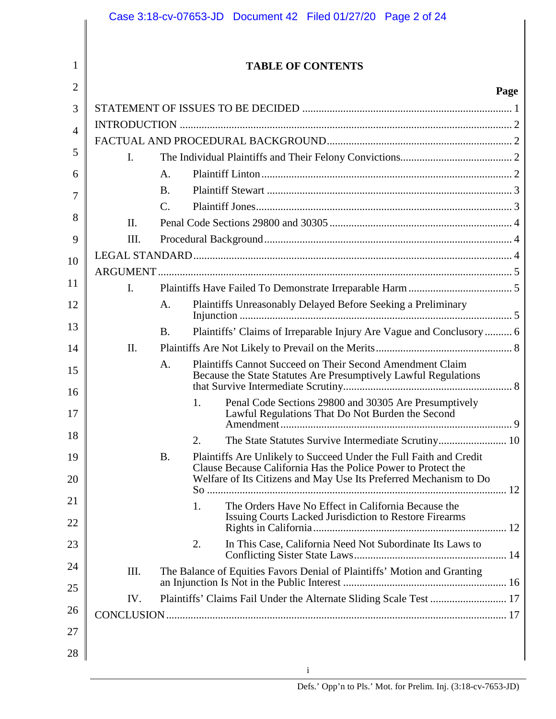|                |                |                             |    | Case 3:18-cv-07653-JD  Document 42  Filed 01/27/20  Page 2 of 24                                                                   |
|----------------|----------------|-----------------------------|----|------------------------------------------------------------------------------------------------------------------------------------|
|                |                |                             |    |                                                                                                                                    |
| 1              |                |                             |    | <b>TABLE OF CONTENTS</b>                                                                                                           |
| $\overline{2}$ |                |                             |    | Page                                                                                                                               |
| 3              |                |                             |    |                                                                                                                                    |
| $\overline{4}$ |                |                             |    |                                                                                                                                    |
| 5              |                |                             |    |                                                                                                                                    |
|                | $\mathbf{I}$ . |                             |    |                                                                                                                                    |
| 6              |                | $\mathsf{A}$ .<br><b>B.</b> |    |                                                                                                                                    |
| 7              |                | $\mathcal{C}$ .             |    |                                                                                                                                    |
| 8              | II.            |                             |    |                                                                                                                                    |
| 9              | Ш.             |                             |    |                                                                                                                                    |
| 10             |                |                             |    |                                                                                                                                    |
|                |                |                             |    |                                                                                                                                    |
| 11             | $\mathbf{I}$ . |                             |    |                                                                                                                                    |
| 12             |                | A.                          |    | Plaintiffs Unreasonably Delayed Before Seeking a Preliminary                                                                       |
| 13             |                | <b>B.</b>                   |    | Plaintiffs' Claims of Irreparable Injury Are Vague and Conclusory  6                                                               |
| 14             | $\prod$ .      |                             |    |                                                                                                                                    |
| 15             |                | A.                          |    | Plaintiffs Cannot Succeed on Their Second Amendment Claim<br>Because the State Statutes Are Presumptively Lawful Regulations       |
| 16<br>17       |                |                             | 1. | Penal Code Sections 29800 and 30305 Are Presumptively<br>Lawful Regulations That Do Not Burden the Second                          |
| 18             |                |                             | 2. |                                                                                                                                    |
| 19             |                | <b>B.</b>                   |    | Plaintiffs Are Unlikely to Succeed Under the Full Faith and Credit                                                                 |
| 20             |                |                             |    | Clause Because California Has the Police Power to Protect the<br>Welfare of Its Citizens and May Use Its Preferred Mechanism to Do |
| 21             |                |                             | 1. | The Orders Have No Effect in California Because the                                                                                |
| 22             |                |                             |    | Issuing Courts Lacked Jurisdiction to Restore Firearms                                                                             |
| 23             |                |                             | 2. | In This Case, California Need Not Subordinate Its Laws to                                                                          |
| 24             | III.           |                             |    | The Balance of Equities Favors Denial of Plaintiffs' Motion and Granting                                                           |
| 25             | IV.            |                             |    | Plaintiffs' Claims Fail Under the Alternate Sliding Scale Test  17                                                                 |
| 26             |                |                             |    |                                                                                                                                    |
| 27             |                |                             |    |                                                                                                                                    |
| 28             |                |                             |    |                                                                                                                                    |
|                |                |                             |    | <sup>i</sup>                                                                                                                       |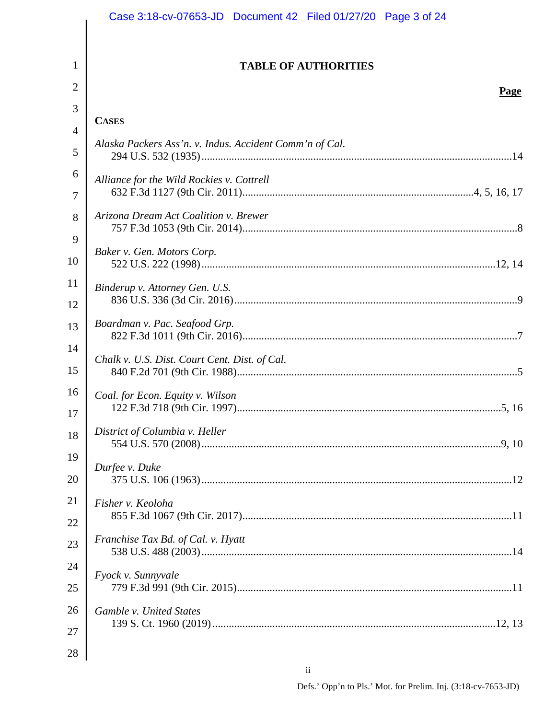|                | Case 3:18-cv-07653-JD  Document 42  Filed 01/27/20  Page 3 of 24 |
|----------------|------------------------------------------------------------------|
|                |                                                                  |
| $\mathbf{1}$   | <b>TABLE OF AUTHORITIES</b>                                      |
| $\overline{2}$ | Page                                                             |
| 3              |                                                                  |
| $\overline{4}$ | <b>CASES</b>                                                     |
| 5              | Alaska Packers Ass'n. v. Indus. Accident Comm'n of Cal.          |
| 6              | Alliance for the Wild Rockies v. Cottrell                        |
| 7              |                                                                  |
| 8              | Arizona Dream Act Coalition v. Brewer                            |
| 9              |                                                                  |
| 10             | Baker v. Gen. Motors Corp.                                       |
| 11             | Binderup v. Attorney Gen. U.S.                                   |
| 12             |                                                                  |
| 13             | Boardman v. Pac. Seafood Grp.                                    |
| 14             |                                                                  |
| 15             | Chalk v. U.S. Dist. Court Cent. Dist. of Cal.                    |
| 16             | Coal. for Econ. Equity v. Wilson                                 |
| 17             |                                                                  |
| 18             | District of Columbia v. Heller                                   |
| 19             |                                                                  |
| 20             | Durfee v. Duke                                                   |
| 21             | Fisher v. Keoloha                                                |
| 22             |                                                                  |
| 23             | Franchise Tax Bd. of Cal. v. Hyatt                               |
| 24             | Fyock v. Sunnyvale                                               |
| 25             |                                                                  |
| 26             | Gamble v. United States                                          |
| 27             |                                                                  |
| 28             |                                                                  |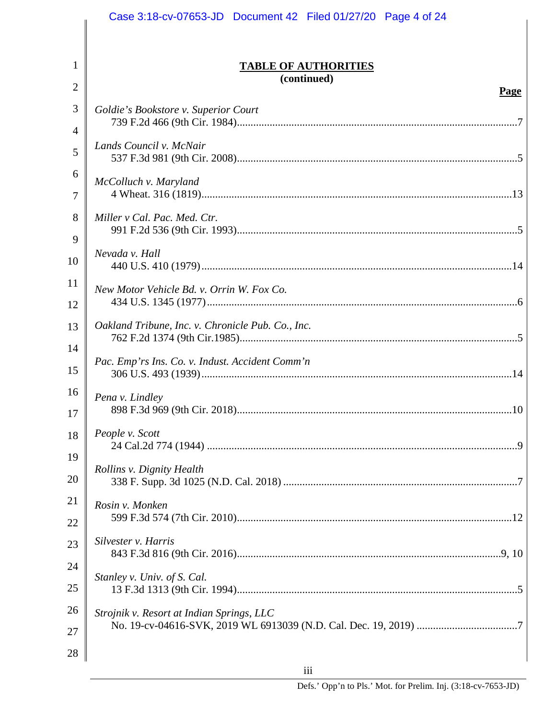|          | Case 3:18-cv-07653-JD  Document 42  Filed 01/27/20  Page 4 of 24 |
|----------|------------------------------------------------------------------|
|          |                                                                  |
| 1<br>2   | <b>TABLE OF AUTHORITIES</b><br>(continued)                       |
|          | Page                                                             |
| 3        | Goldie's Bookstore v. Superior Court                             |
| 4<br>5   | Lands Council v. McNair                                          |
| 6        | McColluch v. Maryland                                            |
| 7        |                                                                  |
| 8        | Miller v Cal. Pac. Med. Ctr.                                     |
| 9        |                                                                  |
| 10       | Nevada v. Hall                                                   |
| 11       | New Motor Vehicle Bd. v. Orrin W. Fox Co.                        |
| 12       |                                                                  |
| 13       | Oakland Tribune, Inc. v. Chronicle Pub. Co., Inc.                |
| 14<br>15 | Pac. Emp'rs Ins. Co. v. Indust. Accident Comm'n                  |
| 16<br>17 | Pena v. Lindley                                                  |
| 18       | People v. Scott                                                  |
| 19       |                                                                  |
| 20       | Rollins v. Dignity Health                                        |
| 21       | Rosin v. Monken                                                  |
| 22       |                                                                  |
| 23       | Silvester v. Harris                                              |
| 24       | Stanley v. Univ. of S. Cal.                                      |
| 25       |                                                                  |
| 26       | Strojnik v. Resort at Indian Springs, LLC                        |
| 27       |                                                                  |
| 28       |                                                                  |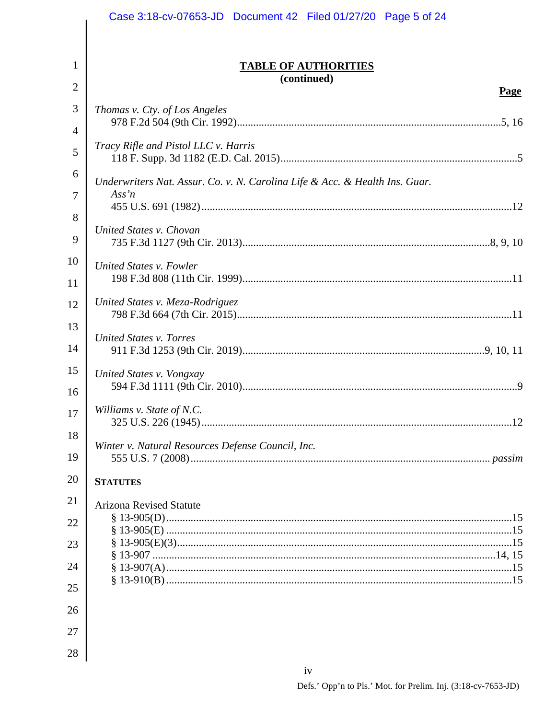|                | Case 3:18-cv-07653-JD  Document 42  Filed 01/27/20  Page 5 of 24            |
|----------------|-----------------------------------------------------------------------------|
|                |                                                                             |
| 1              | <b>TABLE OF AUTHORITIES</b>                                                 |
| $\overline{2}$ | (continued)                                                                 |
| 3              | <b>Page</b>                                                                 |
|                | Thomas v. Cty. of Los Angeles                                               |
| 4              | Tracy Rifle and Pistol LLC v. Harris                                        |
| 5              |                                                                             |
| 6              | Underwriters Nat. Assur. Co. v. N. Carolina Life & Acc. & Health Ins. Guar. |
| 7              | $Ass\,n$                                                                    |
| 8              | United States v. Chovan                                                     |
| 9              |                                                                             |
| 10             | United States v. Fowler                                                     |
| 11             |                                                                             |
| 12             | United States v. Meza-Rodriguez                                             |
| 13             |                                                                             |
| 14             | <b>United States v. Torres</b>                                              |
| 15             | United States v. Vongxay                                                    |
| 16             |                                                                             |
| 17             | Williams v. State of N.C.                                                   |
| 18             |                                                                             |
| 19             | Winter v. Natural Resources Defense Council, Inc.                           |
| 20             | <b>STATUTES</b>                                                             |
| 21             |                                                                             |
| 22             | <b>Arizona Revised Statute</b>                                              |
|                |                                                                             |
| 23             |                                                                             |
| 24             |                                                                             |
| 25             |                                                                             |
| 26             |                                                                             |
| 27             |                                                                             |
| 28             |                                                                             |
|                | iv                                                                          |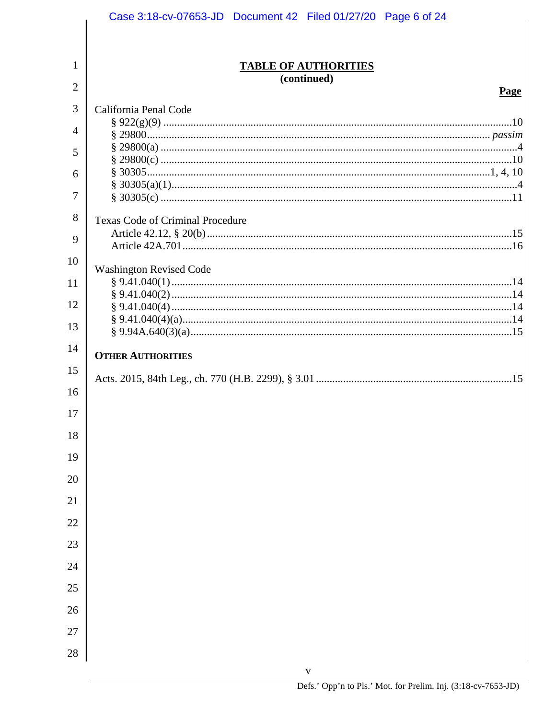|          | Case 3:18-cv-07653-JD  Document 42  Filed 01/27/20  Page 6 of 24 |
|----------|------------------------------------------------------------------|
|          |                                                                  |
| 1        | <b>TABLE OF AUTHORITIES</b>                                      |
| 2        | (continued)                                                      |
|          | Page                                                             |
| 3        | California Penal Code                                            |
| 4        |                                                                  |
| 5        |                                                                  |
| 6        |                                                                  |
| 7        |                                                                  |
| 8        | Texas Code of Criminal Procedure                                 |
| 9        |                                                                  |
| 10       | <b>Washington Revised Code</b>                                   |
| 11       |                                                                  |
| 12       |                                                                  |
| 13       |                                                                  |
| 14       |                                                                  |
| 15       | <b>OTHER AUTHORITIES</b>                                         |
| 16       |                                                                  |
|          |                                                                  |
| 17<br>18 |                                                                  |
| 19       |                                                                  |
| 20       |                                                                  |
| 21       |                                                                  |
| 22       |                                                                  |
| 23       |                                                                  |
|          |                                                                  |
| 24       |                                                                  |
| 25       |                                                                  |
| 26       |                                                                  |
| 27       |                                                                  |
| 28       |                                                                  |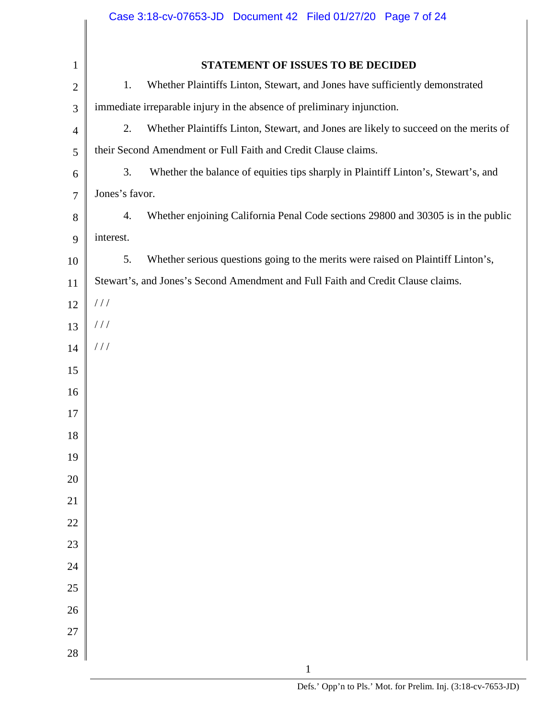|                |                | Case 3:18-cv-07653-JD  Document 42  Filed 01/27/20  Page 7 of 24                     |
|----------------|----------------|--------------------------------------------------------------------------------------|
|                |                |                                                                                      |
| $\mathbf{1}$   |                | STATEMENT OF ISSUES TO BE DECIDED                                                    |
| $\mathbf{2}$   | 1.             | Whether Plaintiffs Linton, Stewart, and Jones have sufficiently demonstrated         |
| 3              |                | immediate irreparable injury in the absence of preliminary injunction.               |
| $\overline{4}$ | 2.             | Whether Plaintiffs Linton, Stewart, and Jones are likely to succeed on the merits of |
| 5              |                | their Second Amendment or Full Faith and Credit Clause claims.                       |
| 6              | 3.             | Whether the balance of equities tips sharply in Plaintiff Linton's, Stewart's, and   |
| $\tau$         | Jones's favor. |                                                                                      |
| $8\,$          | 4.             | Whether enjoining California Penal Code sections 29800 and 30305 is in the public    |
| 9              | interest.      |                                                                                      |
| 10             | 5.             | Whether serious questions going to the merits were raised on Plaintiff Linton's,     |
| 11             |                | Stewart's, and Jones's Second Amendment and Full Faith and Credit Clause claims.     |
| 12             | //             |                                                                                      |
| 13             | //             |                                                                                      |
| 14             | //             |                                                                                      |
| 15             |                |                                                                                      |
| 16             |                |                                                                                      |
| 17             |                |                                                                                      |
| 18             |                |                                                                                      |
| 19             |                |                                                                                      |
| 20             |                |                                                                                      |
| 21             |                |                                                                                      |
| 22             |                |                                                                                      |
| 23             |                |                                                                                      |
| 24             |                |                                                                                      |
| 25             |                |                                                                                      |
| 26             |                |                                                                                      |
| 27             |                |                                                                                      |
| 28             |                |                                                                                      |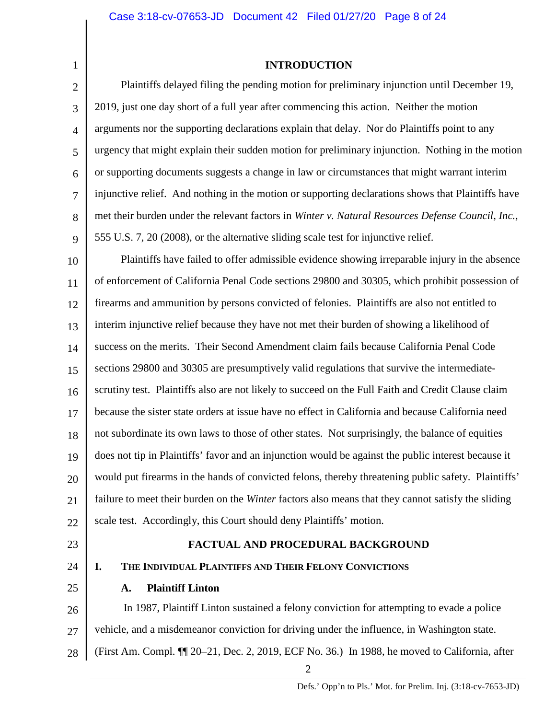4

5

6

7

8

9

1

# **INTRODUCTION**

Plaintiffs delayed filing the pending motion for preliminary injunction until December 19, 2019, just one day short of a full year after commencing this action. Neither the motion arguments nor the supporting declarations explain that delay. Nor do Plaintiffs point to any urgency that might explain their sudden motion for preliminary injunction. Nothing in the motion or supporting documents suggests a change in law or circumstances that might warrant interim injunctive relief. And nothing in the motion or supporting declarations shows that Plaintiffs have met their burden under the relevant factors in *Winter v. Natural Resources Defense Council, Inc.*, 555 U.S. 7, 20 (2008), or the alternative sliding scale test for injunctive relief.

10 11 12 13 14 15 16 17 18 19 20 21 22 Plaintiffs have failed to offer admissible evidence showing irreparable injury in the absence of enforcement of California Penal Code sections 29800 and 30305, which prohibit possession of firearms and ammunition by persons convicted of felonies. Plaintiffs are also not entitled to interim injunctive relief because they have not met their burden of showing a likelihood of success on the merits. Their Second Amendment claim fails because California Penal Code sections 29800 and 30305 are presumptively valid regulations that survive the intermediatescrutiny test. Plaintiffs also are not likely to succeed on the Full Faith and Credit Clause claim because the sister state orders at issue have no effect in California and because California need not subordinate its own laws to those of other states. Not surprisingly, the balance of equities does not tip in Plaintiffs' favor and an injunction would be against the public interest because it would put firearms in the hands of convicted felons, thereby threatening public safety. Plaintiffs' failure to meet their burden on the *Winter* factors also means that they cannot satisfy the sliding scale test. Accordingly, this Court should deny Plaintiffs' motion.

23

# **FACTUAL AND PROCEDURAL BACKGROUND**

24

25

# **I. THE INDIVIDUAL PLAINTIFFS AND THEIR FELONY CONVICTIONS**

# **A. Plaintiff Linton**

26 27 28 In 1987, Plaintiff Linton sustained a felony conviction for attempting to evade a police vehicle, and a misdemeanor conviction for driving under the influence, in Washington state. (First Am. Compl. ¶¶ 20–21, Dec. 2, 2019, ECF No. 36.) In 1988, he moved to California, after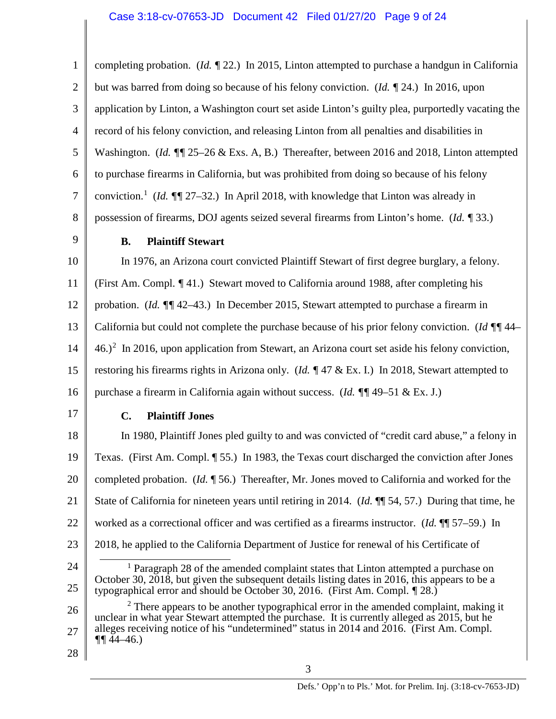1 2 3 4 5 6 7 8 9 10 11 12 13 14 15 16 17 18 19 20 21 22 23 24 25 26 27 28 completing probation. (*Id. ¶* 22.) In 2015, Linton attempted to purchase a handgun in California but was barred from doing so because of his felony conviction. (*Id. ¶* 24.) In 2016, upon application by Linton, a Washington court set aside Linton's guilty plea, purportedly vacating the record of his felony conviction, and releasing Linton from all penalties and disabilities in Washington. *(Id. 11* 25–26 & Exs. A, B.) Thereafter, between 2016 and 2018, Linton attempted to purchase firearms in California, but was prohibited from doing so because of his felony conviction.<sup>1</sup> (*Id.*  $\sqrt{\frac{g}{27-32}}$ .) In April 2018, with knowledge that Linton was already in possession of firearms, DOJ agents seized several firearms from Linton's home. (*Id. ¶* 33.) **B. Plaintiff Stewart** In 1976, an Arizona court convicted Plaintiff Stewart of first degree burglary, a felony. (First Am. Compl. *¶* 41.) Stewart moved to California around 1988, after completing his probation. (*Id. ¶¶* 42–43.) In December 2015, Stewart attempted to purchase a firearm in California but could not complete the purchase because of his prior felony conviction. (*Id ¶¶* 44–  $(46.)^2$  In 2016, upon application from Stewart, an Arizona court set aside his felony conviction, restoring his firearms rights in Arizona only. (*Id. ¶* 47 & Ex. I.) In 2018, Stewart attempted to purchase a firearm in California again without success. (*Id. ¶¶* 49–51 & Ex. J.) **C. Plaintiff Jones** In 1980, Plaintiff Jones pled guilty to and was convicted of "credit card abuse," a felony in Texas. (First Am. Compl. ¶ 55.) In 1983, the Texas court discharged the conviction after Jones completed probation. (*Id.* ¶ 56.) Thereafter, Mr. Jones moved to California and worked for the State of California for nineteen years until retiring in 2014. (*Id.* ¶¶ 54, 57.) During that time, he worked as a correctional officer and was certified as a firearms instructor. (*Id.* ¶¶ 57–59.) In 2018, he applied to the California Department of Justice for renewal of his Certificate of  $<sup>1</sup>$  Paragraph 28 of the amended complaint states that Linton attempted a purchase on</sup> October 30, 2018, but given the subsequent details listing dates in 2016, this appears to be a typographical error and should be October 30, 2016. (First Am. Compl. *¶* 28.) <sup>2</sup> There appears to be another typographical error in the amended complaint, making it unclear in what year Stewart attempted the purchase. It is currently alleged as 2015, but he alleges receiving notice of his "undetermined" status in 2014 and 2016. (First Am. Compl.  $\P\P\P$ 44–46.)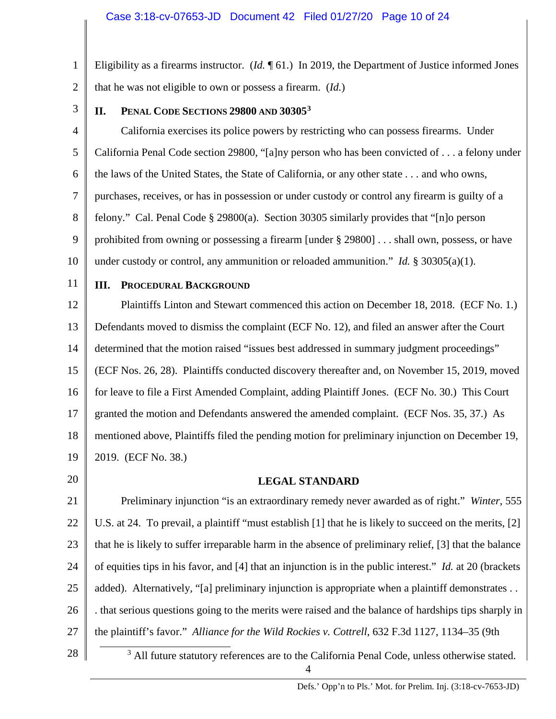1 2 Eligibility as a firearms instructor. (*Id.* ¶ 61.) In 2019, the Department of Justice informed Jones that he was not eligible to own or possess a firearm. (*Id.*)

3

### **II. PENAL CODE SECTIONS 29800 AND 303053**

4 5 6 7 8 9 10 California exercises its police powers by restricting who can possess firearms. Under California Penal Code section 29800, "[a]ny person who has been convicted of . . . a felony under the laws of the United States, the State of California, or any other state . . . and who owns, purchases, receives, or has in possession or under custody or control any firearm is guilty of a felony." Cal. Penal Code § 29800(a). Section 30305 similarly provides that "[n]o person prohibited from owning or possessing a firearm [under § 29800] . . . shall own, possess, or have under custody or control, any ammunition or reloaded ammunition." *Id.*  $\S$  30305(a)(1).

11

# **III. PROCEDURAL BACKGROUND**

12 13 14 15 16 17 18 19 Plaintiffs Linton and Stewart commenced this action on December 18, 2018. (ECF No. 1.) Defendants moved to dismiss the complaint (ECF No. 12), and filed an answer after the Court determined that the motion raised "issues best addressed in summary judgment proceedings" (ECF Nos. 26, 28). Plaintiffs conducted discovery thereafter and, on November 15, 2019, moved for leave to file a First Amended Complaint, adding Plaintiff Jones. (ECF No. 30.) This Court granted the motion and Defendants answered the amended complaint. (ECF Nos. 35, 37.) As mentioned above, Plaintiffs filed the pending motion for preliminary injunction on December 19, 2019. (ECF No. 38.)

20

#### **LEGAL STANDARD**

21 22 23 24 25 26 27 Preliminary injunction "is an extraordinary remedy never awarded as of right." *Winter*, 555 U.S. at 24. To prevail, a plaintiff "must establish [1] that he is likely to succeed on the merits, [2] that he is likely to suffer irreparable harm in the absence of preliminary relief, [3] that the balance of equities tips in his favor, and [4] that an injunction is in the public interest." *Id.* at 20 (brackets added). Alternatively, "[a] preliminary injunction is appropriate when a plaintiff demonstrates . . . that serious questions going to the merits were raised and the balance of hardships tips sharply in the plaintiff's favor." *Alliance for the Wild Rockies v. Cottrell*, 632 F.3d 1127, 1134–35 (9th

28

 $3$  All future statutory references are to the California Penal Code, unless otherwise stated.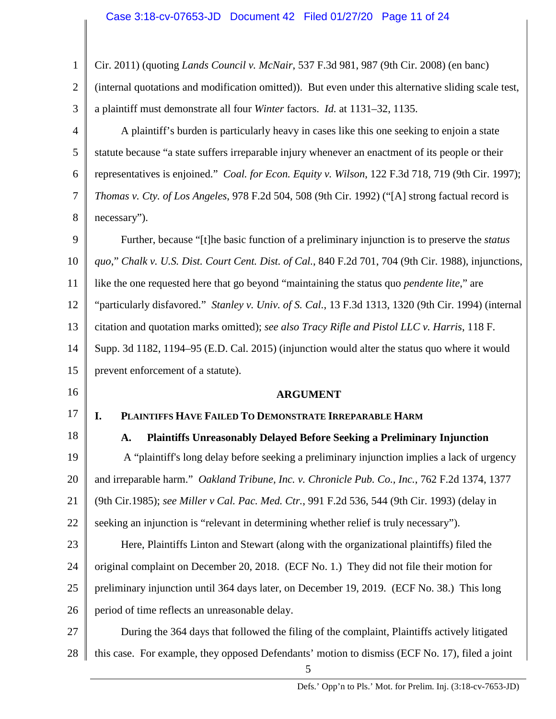# Case 3:18-cv-07653-JD Document 42 Filed 01/27/20 Page 11 of 24

| 1              | Cir. 2011) (quoting <i>Lands Council v. McNair</i> , 537 F.3d 981, 987 (9th Cir. 2008) (en banc)     |
|----------------|------------------------------------------------------------------------------------------------------|
| $\overline{2}$ | (internal quotations and modification omitted)). But even under this alternative sliding scale test, |
| 3              | a plaintiff must demonstrate all four Winter factors. Id. at 1131-32, 1135.                          |
| $\overline{4}$ | A plaintiff's burden is particularly heavy in cases like this one seeking to enjoin a state          |
| 5              | statute because "a state suffers irreparable injury whenever an enactment of its people or their     |
| 6              | representatives is enjoined." Coal. for Econ. Equity v. Wilson, 122 F.3d 718, 719 (9th Cir. 1997);   |
| 7              | Thomas v. Cty. of Los Angeles, 978 F.2d 504, 508 (9th Cir. 1992) ("[A] strong factual record is      |
| 8              | necessary").                                                                                         |
| 9              | Further, because "[t] he basic function of a preliminary injunction is to preserve the <i>status</i> |
| 10             | quo," Chalk v. U.S. Dist. Court Cent. Dist. of Cal., 840 F.2d 701, 704 (9th Cir. 1988), injunctions, |
| 11             | like the one requested here that go beyond "maintaining the status quo <i>pendente lite</i> ," are   |
| 12             | "particularly disfavored." Stanley v. Univ. of S. Cal., 13 F.3d 1313, 1320 (9th Cir. 1994) (internal |
| 13             | citation and quotation marks omitted); see also Tracy Rifle and Pistol LLC v. Harris, 118 F.         |
| 14             | Supp. 3d 1182, 1194–95 (E.D. Cal. 2015) (injunction would alter the status quo where it would        |
| 15             | prevent enforcement of a statute).                                                                   |
| 16             | <b>ARGUMENT</b>                                                                                      |
| 17             | PLAINTIFFS HAVE FAILED TO DEMONSTRATE IRREPARABLE HARM<br>I.                                         |
| 18             | <b>Plaintiffs Unreasonably Delayed Before Seeking a Preliminary Injunction</b><br>A.                 |
| 19             | A "plaintiff's long delay before seeking a preliminary injunction implies a lack of urgency          |
| 20             | and irreparable harm." Oakland Tribune, Inc. v. Chronicle Pub. Co., Inc., 762 F.2d 1374, 1377        |
| 21             | (9th Cir.1985); see Miller v Cal. Pac. Med. Ctr., 991 F.2d 536, 544 (9th Cir. 1993) (delay in        |
| 22             | seeking an injunction is "relevant in determining whether relief is truly necessary").               |
| 23             | Here, Plaintiffs Linton and Stewart (along with the organizational plaintiffs) filed the             |
| 24             | original complaint on December 20, 2018. (ECF No. 1.) They did not file their motion for             |
| 25             | preliminary injunction until 364 days later, on December 19, 2019. (ECF No. 38.) This long           |
| 26             | period of time reflects an unreasonable delay.                                                       |
| 27             | During the 364 days that followed the filing of the complaint, Plaintiffs actively litigated         |
| 28             | this case. For example, they opposed Defendants' motion to dismiss (ECF No. 17), filed a joint       |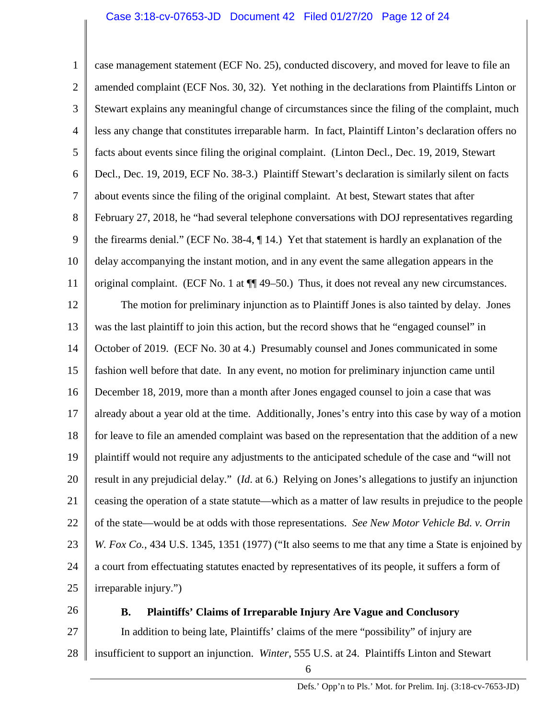1 2 3 4 5 6 7 8 9 10 11 12 13 14 15 16 17 18 19 20 21 22 23 case management statement (ECF No. 25), conducted discovery, and moved for leave to file an amended complaint (ECF Nos. 30, 32). Yet nothing in the declarations from Plaintiffs Linton or Stewart explains any meaningful change of circumstances since the filing of the complaint, much less any change that constitutes irreparable harm. In fact, Plaintiff Linton's declaration offers no facts about events since filing the original complaint. (Linton Decl., Dec. 19, 2019, Stewart Decl., Dec. 19, 2019, ECF No. 38-3.) Plaintiff Stewart's declaration is similarly silent on facts about events since the filing of the original complaint. At best, Stewart states that after February 27, 2018, he "had several telephone conversations with DOJ representatives regarding the firearms denial." (ECF No. 38-4, ¶ 14.) Yet that statement is hardly an explanation of the delay accompanying the instant motion, and in any event the same allegation appears in the original complaint. (ECF No. 1 at ¶¶ 49–50.) Thus, it does not reveal any new circumstances. The motion for preliminary injunction as to Plaintiff Jones is also tainted by delay. Jones was the last plaintiff to join this action, but the record shows that he "engaged counsel" in October of 2019. (ECF No. 30 at 4.) Presumably counsel and Jones communicated in some fashion well before that date. In any event, no motion for preliminary injunction came until December 18, 2019, more than a month after Jones engaged counsel to join a case that was already about a year old at the time. Additionally, Jones's entry into this case by way of a motion for leave to file an amended complaint was based on the representation that the addition of a new plaintiff would not require any adjustments to the anticipated schedule of the case and "will not result in any prejudicial delay." (*Id*. at 6.) Relying on Jones's allegations to justify an injunction ceasing the operation of a state statute—which as a matter of law results in prejudice to the people of the state—would be at odds with those representations. *See New Motor Vehicle Bd. v. Orrin W. Fox Co.*, 434 U.S. 1345, 1351 (1977) ("It also seems to me that any time a State is enjoined by

24 25 a court from effectuating statutes enacted by representatives of its people, it suffers a form of irreparable injury.")

26

#### **B. Plaintiffs' Claims of Irreparable Injury Are Vague and Conclusory**

27 28 In addition to being late, Plaintiffs' claims of the mere "possibility" of injury are insufficient to support an injunction. *Winter*, 555 U.S. at 24. Plaintiffs Linton and Stewart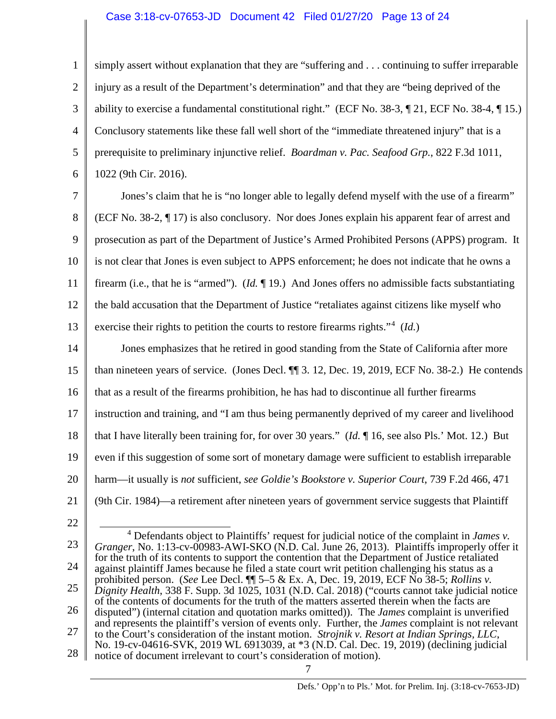#### Case 3:18-cv-07653-JD Document 42 Filed 01/27/20 Page 13 of 24

1 2 3 4 5 6 simply assert without explanation that they are "suffering and . . . continuing to suffer irreparable injury as a result of the Department's determination" and that they are "being deprived of the ability to exercise a fundamental constitutional right." (ECF No. 38-3,  $\sim$  21, ECF No. 38-4,  $\sim$  15.) Conclusory statements like these fall well short of the "immediate threatened injury" that is a prerequisite to preliminary injunctive relief. *Boardman v. Pac. Seafood Grp.*, 822 F.3d 1011, 1022 (9th Cir. 2016).

7 8 9 10 11 12 13 Jones's claim that he is "no longer able to legally defend myself with the use of a firearm" (ECF No. 38-2, ¶ 17) is also conclusory. Nor does Jones explain his apparent fear of arrest and prosecution as part of the Department of Justice's Armed Prohibited Persons (APPS) program. It is not clear that Jones is even subject to APPS enforcement; he does not indicate that he owns a firearm (i.e., that he is "armed"). (*Id.* ¶ 19.) And Jones offers no admissible facts substantiating the bald accusation that the Department of Justice "retaliates against citizens like myself who exercise their rights to petition the courts to restore firearms rights."<sup>4</sup> (*Id.*)

14 15 16 17 18 19 20 21 Jones emphasizes that he retired in good standing from the State of California after more than nineteen years of service. (Jones Decl. ¶¶ 3. 12, Dec. 19, 2019, ECF No. 38-2.) He contends that as a result of the firearms prohibition, he has had to discontinue all further firearms instruction and training, and "I am thus being permanently deprived of my career and livelihood that I have literally been training for, for over 30 years." (*Id.* ¶ 16, see also Pls.' Mot. 12.) But even if this suggestion of some sort of monetary damage were sufficient to establish irreparable harm—it usually is *not* sufficient, *see Goldie's Bookstore v. Superior Court*, 739 F.2d 466, 471 (9th Cir. 1984)—a retirement after nineteen years of government service suggests that Plaintiff

22

23 24 25 26 27 28 4 Defendants object to Plaintiffs' request for judicial notice of the complaint in *James v. Granger*, No. 1:13-cv-00983-AWI-SKO (N.D. Cal. June 26, 2013). Plaintiffs improperly offer it for the truth of its contents to support the contention that the Department of Justice retaliated against plaintiff James because he filed a state court writ petition challenging his status as a prohibited person. (*See* Lee Decl. ¶¶ 5–5 & Ex. A, Dec. 19, 2019, ECF No 38-5; *Rollins v. Dignity Health*, 338 F. Supp. 3d 1025, 1031 (N.D. Cal. 2018) ("courts cannot take judicial notice of the contents of documents for the truth of the matters asserted therein when the facts are disputed") (internal citation and quotation marks omitted)). The *James* complaint is unverified and represents the plaintiff's version of events only. Further, the *James* complaint is not relevant to the Court's consideration of the instant motion. *Strojnik v. Resort at Indian Springs, LLC*, to the Court's consideration of the instant motion. *Strojnik v. Resort at Indian Springs, LLC*, No. 19-cv-04616-SVK, 2019 WL 6913039, at \*3 (N.D. Cal. Dec. 19, 2019) (declining judicial notice of document irrelevant to court's consideration of motion).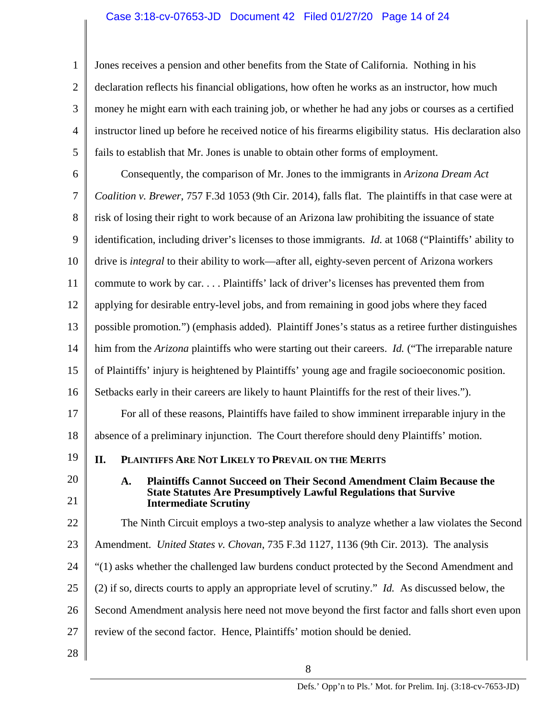### Case 3:18-cv-07653-JD Document 42 Filed 01/27/20 Page 14 of 24

1 2 3 4 5 Jones receives a pension and other benefits from the State of California. Nothing in his declaration reflects his financial obligations, how often he works as an instructor, how much money he might earn with each training job, or whether he had any jobs or courses as a certified instructor lined up before he received notice of his firearms eligibility status. His declaration also fails to establish that Mr. Jones is unable to obtain other forms of employment.

6 7 8 9 10 11 12 13 14 15 16 17 18 19 20 21 22 23 24 Consequently, the comparison of Mr. Jones to the immigrants in *Arizona Dream Act Coalition v. Brewer*, 757 F.3d 1053 (9th Cir. 2014), falls flat. The plaintiffs in that case were at risk of losing their right to work because of an Arizona law prohibiting the issuance of state identification, including driver's licenses to those immigrants. *Id.* at 1068 ("Plaintiffs' ability to drive is *integral* to their ability to work—after all, eighty-seven percent of Arizona workers commute to work by car. . . . Plaintiffs' lack of driver's licenses has prevented them from applying for desirable entry-level jobs, and from remaining in good jobs where they faced possible promotion*.*") (emphasis added). Plaintiff Jones's status as a retiree further distinguishes him from the *Arizona* plaintiffs who were starting out their careers. *Id.* ("The irreparable nature of Plaintiffs' injury is heightened by Plaintiffs' young age and fragile socioeconomic position. Setbacks early in their careers are likely to haunt Plaintiffs for the rest of their lives."). For all of these reasons, Plaintiffs have failed to show imminent irreparable injury in the absence of a preliminary injunction. The Court therefore should deny Plaintiffs' motion. **II. PLAINTIFFS ARE NOT LIKELY TO PREVAIL ON THE MERITS A. Plaintiffs Cannot Succeed on Their Second Amendment Claim Because the State Statutes Are Presumptively Lawful Regulations that Survive Intermediate Scrutiny** The Ninth Circuit employs a two-step analysis to analyze whether a law violates the Second Amendment. *United States v. Chovan*, 735 F.3d 1127, 1136 (9th Cir. 2013). The analysis "(1) asks whether the challenged law burdens conduct protected by the Second Amendment and

- 25 (2) if so, directs courts to apply an appropriate level of scrutiny." *Id.* As discussed below, the
- 26 Second Amendment analysis here need not move beyond the first factor and falls short even upon
- 27 review of the second factor. Hence, Plaintiffs' motion should be denied.
- 28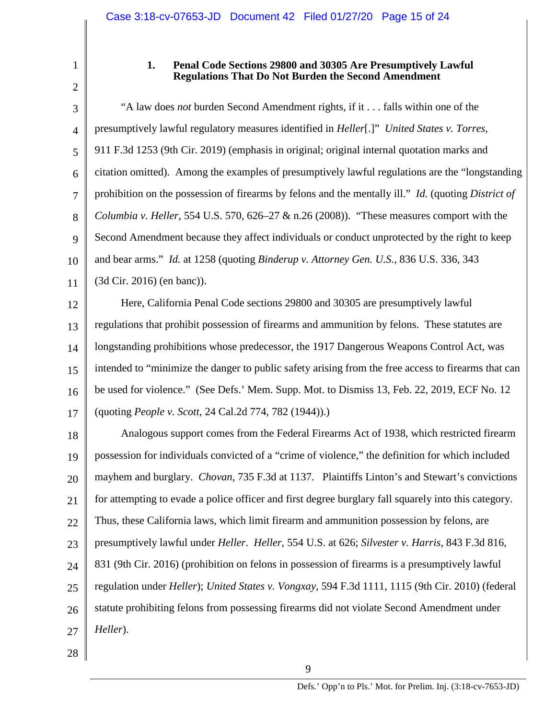1

### **1. Penal Code Sections 29800 and 30305 Are Presumptively Lawful Regulations That Do Not Burden the Second Amendment**

3 4 5 6 7 8 9 10 11 "A law does *not* burden Second Amendment rights, if it . . . falls within one of the presumptively lawful regulatory measures identified in *Heller*[.]" *United States v. Torres*, 911 F.3d 1253 (9th Cir. 2019) (emphasis in original; original internal quotation marks and citation omitted). Among the examples of presumptively lawful regulations are the "longstanding prohibition on the possession of firearms by felons and the mentally ill." *Id.* (quoting *District of Columbia v. Heller*, 554 U.S. 570, 626–27 & n.26 (2008)). "These measures comport with the Second Amendment because they affect individuals or conduct unprotected by the right to keep and bear arms." *Id.* at 1258 (quoting *Binderup v. Attorney Gen. U.S.*, 836 U.S. 336, 343 (3d Cir. 2016) (en banc)).

12 13 14 15 16 17 Here, California Penal Code sections 29800 and 30305 are presumptively lawful regulations that prohibit possession of firearms and ammunition by felons. These statutes are longstanding prohibitions whose predecessor, the 1917 Dangerous Weapons Control Act, was intended to "minimize the danger to public safety arising from the free access to firearms that can be used for violence." (See Defs.' Mem. Supp. Mot. to Dismiss 13, Feb. 22, 2019, ECF No. 12 (quoting *People v. Scott*, 24 Cal.2d 774, 782 (1944)).)

18 19 20 21 22 23 24 25 26 27 Analogous support comes from the Federal Firearms Act of 1938, which restricted firearm possession for individuals convicted of a "crime of violence," the definition for which included mayhem and burglary. *Chovan*, 735 F.3d at 1137. Plaintiffs Linton's and Stewart's convictions for attempting to evade a police officer and first degree burglary fall squarely into this category. Thus, these California laws, which limit firearm and ammunition possession by felons, are presumptively lawful under *Heller*. *Heller*, 554 U.S. at 626; *Silvester v. Harris*, 843 F.3d 816, 831 (9th Cir. 2016) (prohibition on felons in possession of firearms is a presumptively lawful regulation under *Heller*); *United States v. Vongxay*, 594 F.3d 1111, 1115 (9th Cir. 2010) (federal statute prohibiting felons from possessing firearms did not violate Second Amendment under *Heller*).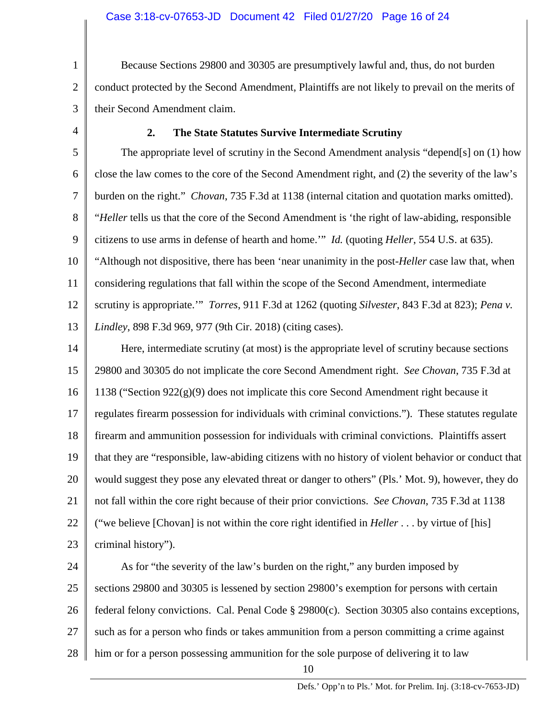1 2 3 Because Sections 29800 and 30305 are presumptively lawful and, thus, do not burden conduct protected by the Second Amendment, Plaintiffs are not likely to prevail on the merits of their Second Amendment claim.

**2. The State Statutes Survive Intermediate Scrutiny**

4

5 6 7 8 9 10 11 12 13 The appropriate level of scrutiny in the Second Amendment analysis "depend[s] on (1) how close the law comes to the core of the Second Amendment right, and (2) the severity of the law's burden on the right." *Chovan*, 735 F.3d at 1138 (internal citation and quotation marks omitted). "*Heller* tells us that the core of the Second Amendment is 'the right of law-abiding, responsible citizens to use arms in defense of hearth and home.'" *Id.* (quoting *Heller*, 554 U.S. at 635). "Although not dispositive, there has been 'near unanimity in the post-*Heller* case law that, when considering regulations that fall within the scope of the Second Amendment, intermediate scrutiny is appropriate.'" *Torres*, 911 F.3d at 1262 (quoting *Silvester*, 843 F.3d at 823); *Pena v. Lindley*, 898 F.3d 969, 977 (9th Cir. 2018) (citing cases).

14 15 16 17 18 19 20 21 22 23 Here, intermediate scrutiny (at most) is the appropriate level of scrutiny because sections 29800 and 30305 do not implicate the core Second Amendment right. *See Chovan*, 735 F.3d at 1138 ("Section  $922(g)(9)$  does not implicate this core Second Amendment right because it regulates firearm possession for individuals with criminal convictions."). These statutes regulate firearm and ammunition possession for individuals with criminal convictions. Plaintiffs assert that they are "responsible, law-abiding citizens with no history of violent behavior or conduct that would suggest they pose any elevated threat or danger to others" (Pls.' Mot. 9), however, they do not fall within the core right because of their prior convictions. *See Chovan*, 735 F.3d at 1138 ("we believe [Chovan] is not within the core right identified in *Heller* . . . by virtue of [his] criminal history").

24 25 26 27 28 As for "the severity of the law's burden on the right," any burden imposed by sections 29800 and 30305 is lessened by section 29800's exemption for persons with certain federal felony convictions. Cal. Penal Code § 29800(c). Section 30305 also contains exceptions, such as for a person who finds or takes ammunition from a person committing a crime against him or for a person possessing ammunition for the sole purpose of delivering it to law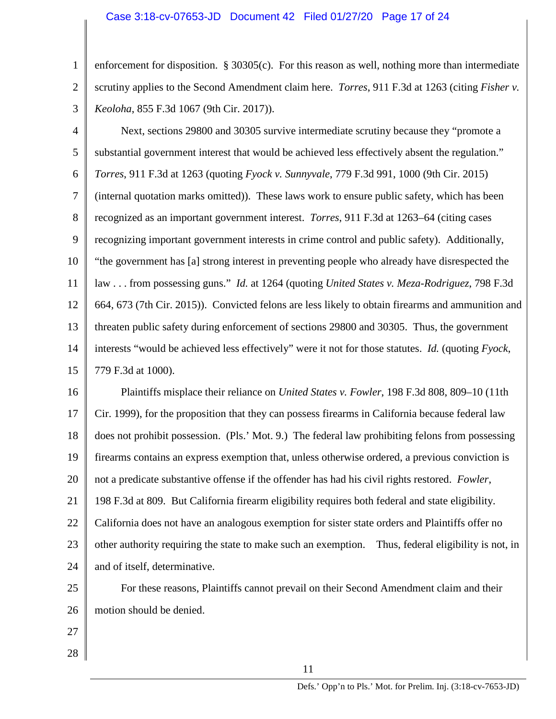#### Case 3:18-cv-07653-JD Document 42 Filed 01/27/20 Page 17 of 24

1 2 enforcement for disposition. § 30305(c). For this reason as well, nothing more than intermediate scrutiny applies to the Second Amendment claim here. *Torres*, 911 F.3d at 1263 (citing *Fisher v. Keoloha*, 855 F.3d 1067 (9th Cir. 2017)).

3

4 5 6 7 8 9 10 11 12 13 14 15 Next, sections 29800 and 30305 survive intermediate scrutiny because they "promote a substantial government interest that would be achieved less effectively absent the regulation." *Torres*, 911 F.3d at 1263 (quoting *Fyock v. Sunnyvale*, 779 F.3d 991, 1000 (9th Cir. 2015) (internal quotation marks omitted)). These laws work to ensure public safety, which has been recognized as an important government interest. *Torres*, 911 F.3d at 1263–64 (citing cases recognizing important government interests in crime control and public safety). Additionally, "the government has [a] strong interest in preventing people who already have disrespected the law . . . from possessing guns." *Id.* at 1264 (quoting *United States v. Meza-Rodriguez*, 798 F.3d 664, 673 (7th Cir. 2015)). Convicted felons are less likely to obtain firearms and ammunition and threaten public safety during enforcement of sections 29800 and 30305. Thus, the government interests "would be achieved less effectively" were it not for those statutes. *Id.* (quoting *Fyock*, 779 F.3d at 1000).

16 17 18 19 20 21 22 23 24 Plaintiffs misplace their reliance on *United States v. Fowler*, 198 F.3d 808, 809–10 (11th Cir. 1999), for the proposition that they can possess firearms in California because federal law does not prohibit possession. (Pls.' Mot. 9.) The federal law prohibiting felons from possessing firearms contains an express exemption that, unless otherwise ordered, a previous conviction is not a predicate substantive offense if the offender has had his civil rights restored. *Fowler*, 198 F.3d at 809. But California firearm eligibility requires both federal and state eligibility. California does not have an analogous exemption for sister state orders and Plaintiffs offer no other authority requiring the state to make such an exemption. Thus, federal eligibility is not, in and of itself, determinative.

25 26 For these reasons, Plaintiffs cannot prevail on their Second Amendment claim and their motion should be denied.

- 27
- 28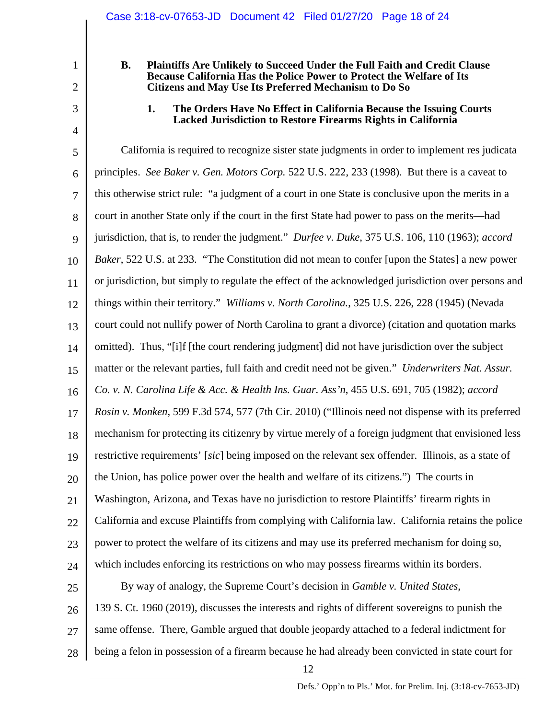#### **B. Plaintiffs Are Unlikely to Succeed Under the Full Faith and Credit Clause Because California Has the Police Power to Protect the Welfare of Its Citizens and May Use Its Preferred Mechanism to Do So**

1

2

3

4

**1. The Orders Have No Effect in California Because the Issuing Courts Lacked Jurisdiction to Restore Firearms Rights in California**

5 6 7 8 9 10 11 12 13 14 15 16 17 18 19 20 21 22 23 24 25 26 27 28 California is required to recognize sister state judgments in order to implement res judicata principles. *See Baker v. Gen. Motors Corp.* 522 U.S. 222, 233 (1998). But there is a caveat to this otherwise strict rule: "a judgment of a court in one State is conclusive upon the merits in a court in another State only if the court in the first State had power to pass on the merits—had jurisdiction, that is, to render the judgment." *Durfee v. Duke*, 375 U.S. 106, 110 (1963); *accord Baker*, 522 U.S. at 233. "The Constitution did not mean to confer [upon the States] a new power or jurisdiction, but simply to regulate the effect of the acknowledged jurisdiction over persons and things within their territory." *Williams v. North Carolina.*, 325 U.S. 226, 228 (1945) (Nevada court could not nullify power of North Carolina to grant a divorce) (citation and quotation marks omitted). Thus, "[i]f [the court rendering judgment] did not have jurisdiction over the subject matter or the relevant parties, full faith and credit need not be given." *Underwriters Nat. Assur. Co. v. N. Carolina Life & Acc. & Health Ins. Guar. Ass'n*, 455 U.S. 691, 705 (1982); *accord Rosin v. Monken*, 599 F.3d 574, 577 (7th Cir. 2010) ("Illinois need not dispense with its preferred mechanism for protecting its citizenry by virtue merely of a foreign judgment that envisioned less restrictive requirements' [*sic*] being imposed on the relevant sex offender. Illinois, as a state of the Union, has police power over the health and welfare of its citizens.") The courts in Washington, Arizona, and Texas have no jurisdiction to restore Plaintiffs' firearm rights in California and excuse Plaintiffs from complying with California law. California retains the police power to protect the welfare of its citizens and may use its preferred mechanism for doing so, which includes enforcing its restrictions on who may possess firearms within its borders. By way of analogy, the Supreme Court's decision in *Gamble v. United States*, 139 S. Ct. 1960 (2019), discusses the interests and rights of different sovereigns to punish the same offense. There, Gamble argued that double jeopardy attached to a federal indictment for being a felon in possession of a firearm because he had already been convicted in state court for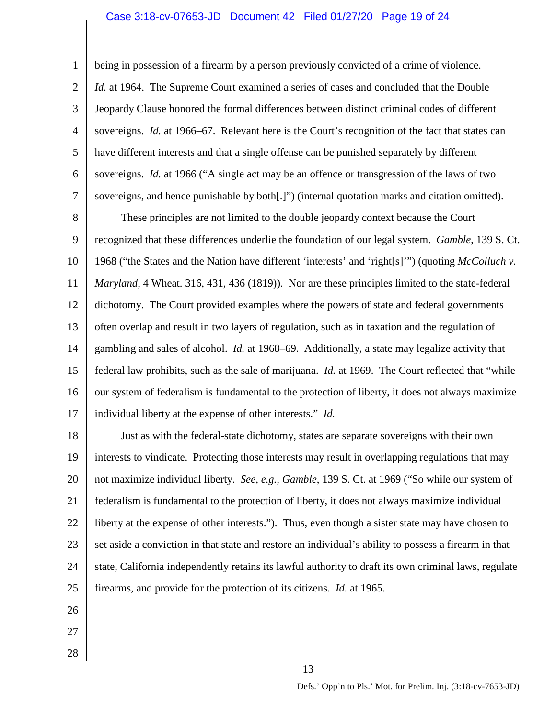#### Case 3:18-cv-07653-JD Document 42 Filed 01/27/20 Page 19 of 24

1 2 3 4 5 6 7 being in possession of a firearm by a person previously convicted of a crime of violence. *Id.* at 1964. The Supreme Court examined a series of cases and concluded that the Double Jeopardy Clause honored the formal differences between distinct criminal codes of different sovereigns. *Id.* at 1966–67. Relevant here is the Court's recognition of the fact that states can have different interests and that a single offense can be punished separately by different sovereigns. *Id.* at 1966 ("A single act may be an offence or transgression of the laws of two sovereigns, and hence punishable by both[.]") (internal quotation marks and citation omitted).

8 9 10 11 12 13 14 15 16 17 These principles are not limited to the double jeopardy context because the Court recognized that these differences underlie the foundation of our legal system. *Gamble*, 139 S. Ct. 1968 ("the States and the Nation have different 'interests' and 'right[s]'") (quoting *McColluch v. Maryland*, 4 Wheat. 316, 431, 436 (1819)). Nor are these principles limited to the state-federal dichotomy. The Court provided examples where the powers of state and federal governments often overlap and result in two layers of regulation, such as in taxation and the regulation of gambling and sales of alcohol. *Id.* at 1968–69. Additionally, a state may legalize activity that federal law prohibits, such as the sale of marijuana. *Id.* at 1969. The Court reflected that "while our system of federalism is fundamental to the protection of liberty, it does not always maximize individual liberty at the expense of other interests." *Id.*

18 19 20 21 22 23 24 25 Just as with the federal-state dichotomy, states are separate sovereigns with their own interests to vindicate. Protecting those interests may result in overlapping regulations that may not maximize individual liberty. *See, e.g., Gamble*, 139 S. Ct. at 1969 ("So while our system of federalism is fundamental to the protection of liberty, it does not always maximize individual liberty at the expense of other interests."). Thus, even though a sister state may have chosen to set aside a conviction in that state and restore an individual's ability to possess a firearm in that state, California independently retains its lawful authority to draft its own criminal laws, regulate firearms, and provide for the protection of its citizens. *Id.* at 1965.

- 26
- 27
- 28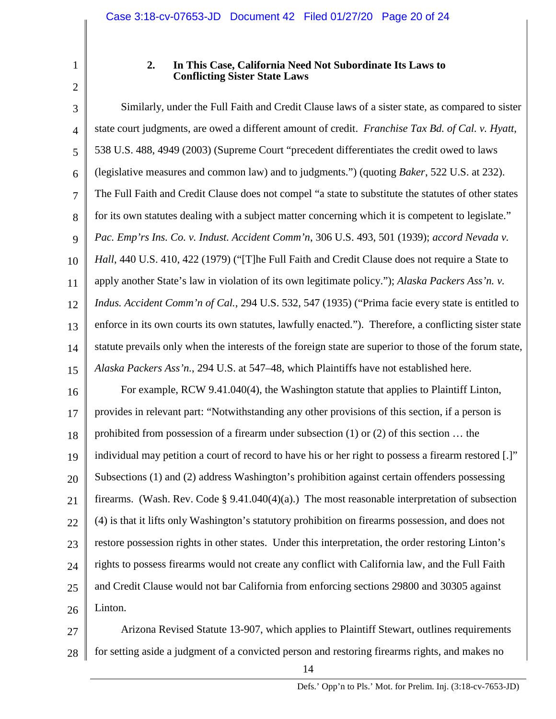### **2. In This Case, California Need Not Subordinate Its Laws to Conflicting Sister State Laws**

3 4 5 6 7 8 9 10 11 12 13 14 15 16 17 18 19 20 21 22 23 24 25 26 Similarly, under the Full Faith and Credit Clause laws of a sister state, as compared to sister state court judgments, are owed a different amount of credit. *Franchise Tax Bd. of Cal. v. Hyatt*, 538 U.S. 488, 4949 (2003) (Supreme Court "precedent differentiates the credit owed to laws (legislative measures and common law) and to judgments.") (quoting *Baker*, 522 U.S. at 232). The Full Faith and Credit Clause does not compel "a state to substitute the statutes of other states for its own statutes dealing with a subject matter concerning which it is competent to legislate." *Pac. Emp'rs Ins. Co. v. Indust. Accident Comm'n*, 306 U.S. 493, 501 (1939); *accord Nevada v. Hall*, 440 U.S. 410, 422 (1979) ("[T]he Full Faith and Credit Clause does not require a State to apply another State's law in violation of its own legitimate policy."); *Alaska Packers Ass'n. v. Indus. Accident Comm'n of Cal.*, 294 U.S. 532, 547 (1935) ("Prima facie every state is entitled to enforce in its own courts its own statutes, lawfully enacted."). Therefore, a conflicting sister state statute prevails only when the interests of the foreign state are superior to those of the forum state, *Alaska Packers Ass'n.*, 294 U.S. at 547–48, which Plaintiffs have not established here. For example, RCW 9.41.040(4), the Washington statute that applies to Plaintiff Linton, provides in relevant part: "Notwithstanding any other provisions of this section, if a person is prohibited from possession of a firearm under subsection (1) or (2) of this section … the individual may petition a court of record to have his or her right to possess a firearm restored [.]" Subsections (1) and (2) address Washington's prohibition against certain offenders possessing firearms. (Wash. Rev. Code  $\S$  9.41.040(4)(a).) The most reasonable interpretation of subsection (4) is that it lifts only Washington's statutory prohibition on firearms possession, and does not restore possession rights in other states. Under this interpretation, the order restoring Linton's rights to possess firearms would not create any conflict with California law, and the Full Faith and Credit Clause would not bar California from enforcing sections 29800 and 30305 against Linton.

27 28 Arizona Revised Statute 13-907, which applies to Plaintiff Stewart, outlines requirements for setting aside a judgment of a convicted person and restoring firearms rights, and makes no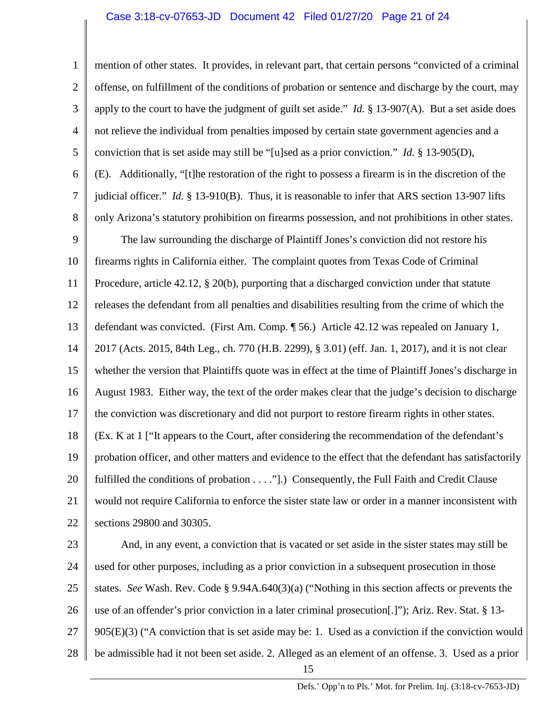#### Case 3:18-cv-07653-JD Document 42 Filed 01/27/20 Page 21 of 24

1 2 3 4 5 6 7 8 9 10 11 12 13 14 15 16 17 18 19 20 21 22 23 24 25 mention of other states. It provides, in relevant part, that certain persons "convicted of a criminal offense, on fulfillment of the conditions of probation or sentence and discharge by the court, may apply to the court to have the judgment of guilt set aside." *Id.* § 13-907(A). But a set aside does not relieve the individual from penalties imposed by certain state government agencies and a conviction that is set aside may still be "[u]sed as a prior conviction." *Id.* § 13-905(D), (E). Additionally, "[t]he restoration of the right to possess a firearm is in the discretion of the judicial officer." *Id.* § 13-910(B). Thus, it is reasonable to infer that ARS section 13-907 lifts only Arizona's statutory prohibition on firearms possession, and not prohibitions in other states. The law surrounding the discharge of Plaintiff Jones's conviction did not restore his firearms rights in California either. The complaint quotes from Texas Code of Criminal Procedure, article 42.12, § 20(b), purporting that a discharged conviction under that statute releases the defendant from all penalties and disabilities resulting from the crime of which the defendant was convicted. (First Am. Comp. ¶ 56.) Article 42.12 was repealed on January 1, 2017 (Acts. 2015, 84th Leg., ch. 770 (H.B. 2299), § 3.01) (eff. Jan. 1, 2017), and it is not clear whether the version that Plaintiffs quote was in effect at the time of Plaintiff Jones's discharge in August 1983. Either way, the text of the order makes clear that the judge's decision to discharge the conviction was discretionary and did not purport to restore firearm rights in other states. (Ex. K at 1 ["It appears to the Court, after considering the recommendation of the defendant's probation officer, and other matters and evidence to the effect that the defendant has satisfactorily fulfilled the conditions of probation . . . ."].) Consequently, the Full Faith and Credit Clause would not require California to enforce the sister state law or order in a manner inconsistent with sections 29800 and 30305. And, in any event, a conviction that is vacated or set aside in the sister states may still be used for other purposes, including as a prior conviction in a subsequent prosecution in those states. *See* Wash. Rev. Code § 9.94A.640(3)(a) ("Nothing in this section affects or prevents the

26 use of an offender's prior conviction in a later criminal prosecution[.]"); Ariz. Rev. Stat. § 13-

27 905(E)(3) ("A conviction that is set aside may be: 1. Used as a conviction if the conviction would

28 be admissible had it not been set aside. 2. Alleged as an element of an offense. 3. Used as a prior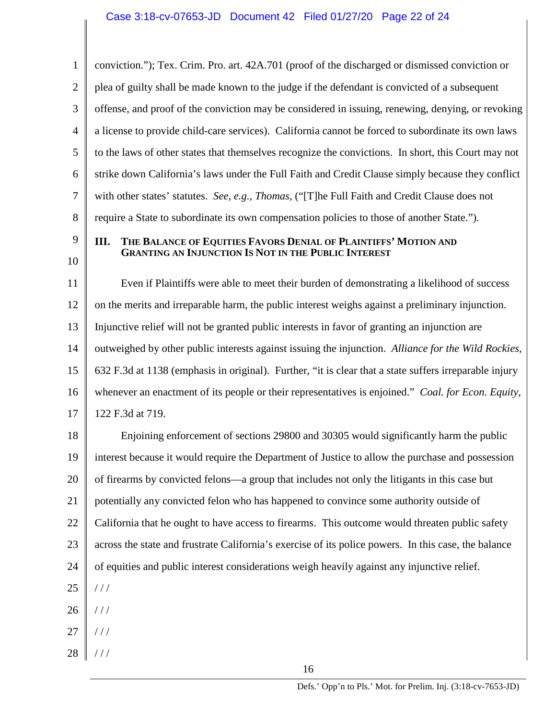1 2 3 4 5 6 7 8 conviction."); Tex. Crim. Pro. art. 42A.701 (proof of the discharged or dismissed conviction or plea of guilty shall be made known to the judge if the defendant is convicted of a subsequent offense, and proof of the conviction may be considered in issuing, renewing, denying, or revoking a license to provide child-care services). California cannot be forced to subordinate its own laws to the laws of other states that themselves recognize the convictions. In short, this Court may not strike down California's laws under the Full Faith and Credit Clause simply because they conflict with other states' statutes. *See, e.g., Thomas*, ("[T]he Full Faith and Credit Clause does not require a State to subordinate its own compensation policies to those of another State.").

9 10

#### **III. THE BALANCE OF EQUITIES FAVORS DENIAL OF PLAINTIFFS' MOTION AND GRANTING AN INJUNCTION IS NOT IN THE PUBLIC INTEREST**

11 12 13 14 15 16 17 Even if Plaintiffs were able to meet their burden of demonstrating a likelihood of success on the merits and irreparable harm, the public interest weighs against a preliminary injunction. Injunctive relief will not be granted public interests in favor of granting an injunction are outweighed by other public interests against issuing the injunction. *Alliance for the Wild Rockies*, 632 F.3d at 1138 (emphasis in original). Further, "it is clear that a state suffers irreparable injury whenever an enactment of its people or their representatives is enjoined." *Coal. for Econ. Equity*, 122 F.3d at 719.

18 19 20 21 22 23 24 25 26 27 Enjoining enforcement of sections 29800 and 30305 would significantly harm the public interest because it would require the Department of Justice to allow the purchase and possession of firearms by convicted felons—a group that includes not only the litigants in this case but potentially any convicted felon who has happened to convince some authority outside of California that he ought to have access to firearms. This outcome would threaten public safety across the state and frustrate California's exercise of its police powers. In this case, the balance of equities and public interest considerations weigh heavily against any injunctive relief. / / / / / /  $//$ 

28  $/$  /  $/$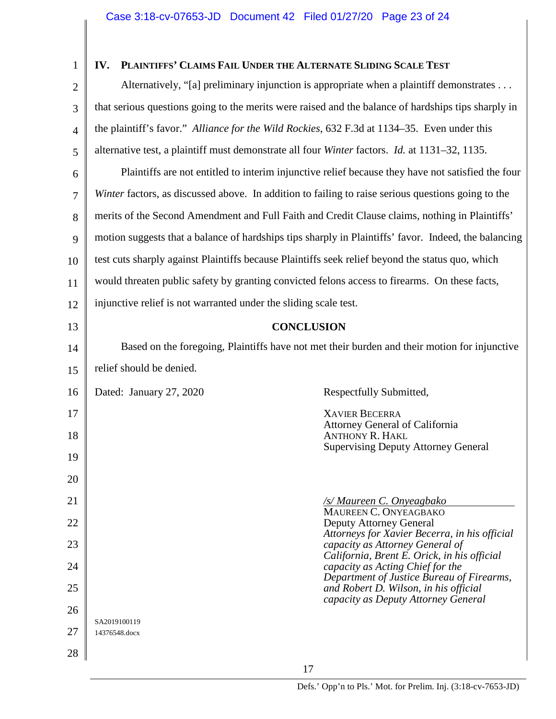# **IV. PLAINTIFFS' CLAIMS FAIL UNDER THE ALTERNATE SLIDING SCALE TEST**

2 3 4 5 6 7 8 9 10 11 12 13 14 15 16 17 18 19 20 21 22 23 24 25 26 27 28 Alternatively, "[a] preliminary injunction is appropriate when a plaintiff demonstrates . . . that serious questions going to the merits were raised and the balance of hardships tips sharply in the plaintiff's favor." *Alliance for the Wild Rockies*, 632 F.3d at 1134–35. Even under this alternative test, a plaintiff must demonstrate all four *Winter* factors. *Id.* at 1131–32, 1135. Plaintiffs are not entitled to interim injunctive relief because they have not satisfied the four *Winter factors, as discussed above.* In addition to failing to raise serious questions going to the merits of the Second Amendment and Full Faith and Credit Clause claims, nothing in Plaintiffs' motion suggests that a balance of hardships tips sharply in Plaintiffs' favor. Indeed, the balancing test cuts sharply against Plaintiffs because Plaintiffs seek relief beyond the status quo, which would threaten public safety by granting convicted felons access to firearms. On these facts, injunctive relief is not warranted under the sliding scale test. **CONCLUSION** Based on the foregoing, Plaintiffs have not met their burden and their motion for injunctive relief should be denied. Dated: January 27, 2020 Respectfully Submitted, XAVIER BECERRA Attorney General of California ANTHONY R. HAKL Supervising Deputy Attorney General */s/ Maureen C. Onyeagbako* MAUREEN C. ONYEAGBAKO Deputy Attorney General *Attorneys for Xavier Becerra, in his official capacity as Attorney General of California, Brent E. Orick, in his official capacity as Acting Chief for the Department of Justice Bureau of Firearms, and Robert D. Wilson, in his official capacity as Deputy Attorney General* SA2019100119 14376548.docx